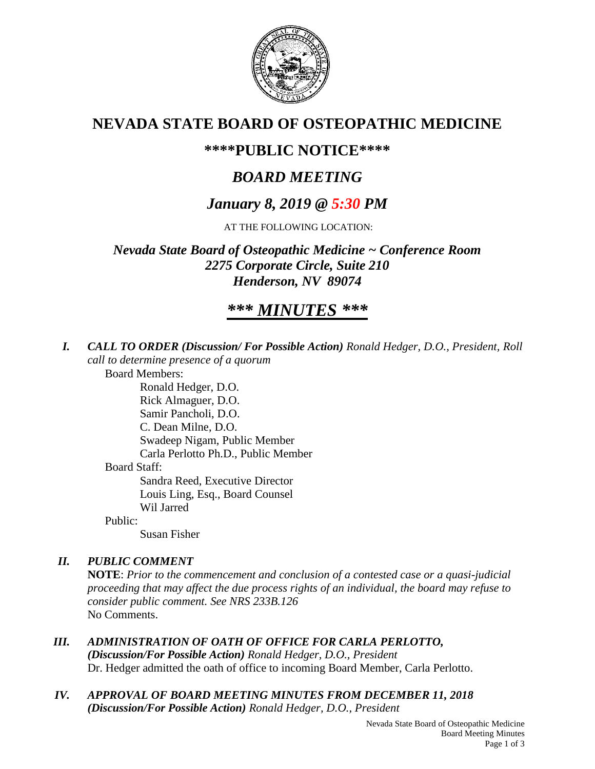

# **NEVADA STATE BOARD OF OSTEOPATHIC MEDICINE**

## **\*\*\*\*PUBLIC NOTICE\*\*\*\***

# *BOARD MEETING*

# *January 8, 2019 @ 5:30 PM*

AT THE FOLLOWING LOCATION:

*Nevada State Board of Osteopathic Medicine ~ Conference Room 2275 Corporate Circle, Suite 210 Henderson, NV 89074*

# *\*\*\* MINUTES \*\*\**

*I. CALL TO ORDER (Discussion/ For Possible Action) Ronald Hedger, D.O., President, Roll call to determine presence of a quorum*

Board Members:

Ronald Hedger, D.O. Rick Almaguer, D.O. Samir Pancholi, D.O. C. Dean Milne, D.O. Swadeep Nigam, Public Member Carla Perlotto Ph.D., Public Member Board Staff: Sandra Reed, Executive Director Louis Ling, Esq., Board Counsel Wil Jarred Public:

Susan Fisher

## *II. PUBLIC COMMENT*

**NOTE**: *Prior to the commencement and conclusion of a contested case or a quasi-judicial proceeding that may affect the due process rights of an individual, the board may refuse to consider public comment. See NRS 233B.126* No Comments.

- *III. ADMINISTRATION OF OATH OF OFFICE FOR CARLA PERLOTTO, (Discussion/For Possible Action) Ronald Hedger, D.O., President* Dr. Hedger admitted the oath of office to incoming Board Member, Carla Perlotto.
- *IV. APPROVAL OF BOARD MEETING MINUTES FROM DECEMBER 11, 2018 (Discussion/For Possible Action) Ronald Hedger, D.O., President*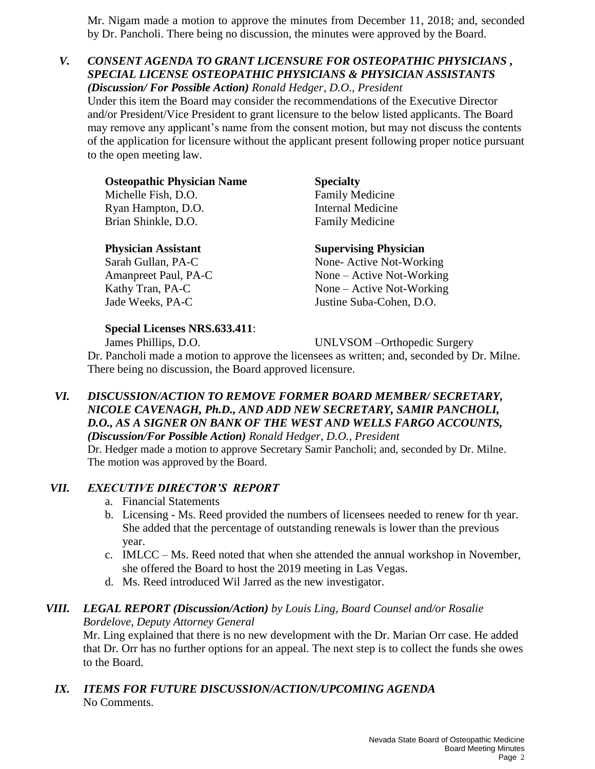Mr. Nigam made a motion to approve the minutes from December 11, 2018; and, seconded by Dr. Pancholi. There being no discussion, the minutes were approved by the Board.

### *V. CONSENT AGENDA TO GRANT LICENSURE FOR OSTEOPATHIC PHYSICIANS , SPECIAL LICENSE OSTEOPATHIC PHYSICIANS & PHYSICIAN ASSISTANTS (Discussion/ For Possible Action) Ronald Hedger, D.O., President*

Under this item the Board may consider the recommendations of the Executive Director and/or President/Vice President to grant licensure to the below listed applicants. The Board may remove any applicant's name from the consent motion, but may not discuss the contents of the application for licensure without the applicant present following proper notice pursuant to the open meeting law.

| <b>Osteopathic Physician Name</b> | <b>Specialty</b>         |
|-----------------------------------|--------------------------|
| Michelle Fish, D.O.               | <b>Family Medicine</b>   |
| Ryan Hampton, D.O.                | <b>Internal Medicine</b> |
| Brian Shinkle, D.O.               | <b>Family Medicine</b>   |
|                                   |                          |

### **Physician Assistant Supervising Physician**

Sarah Gullan, PA-C None- Active Not-Working Amanpreet Paul, PA-C None – Active Not-Working Kathy Tran, PA-C None – Active Not-Working Jade Weeks, PA-C Justine Suba-Cohen, D.O.

### **Special Licenses NRS.633.411**:

James Phillips, D.O. UNLVSOM –Orthopedic Surgery

Dr. Pancholi made a motion to approve the licensees as written; and, seconded by Dr. Milne. There being no discussion, the Board approved licensure.

#### *VI. DISCUSSION/ACTION TO REMOVE FORMER BOARD MEMBER/ SECRETARY, NICOLE CAVENAGH, Ph.D., AND ADD NEW SECRETARY, SAMIR PANCHOLI, D.O., AS A SIGNER ON BANK OF THE WEST AND WELLS FARGO ACCOUNTS, (Discussion/For Possible Action) Ronald Hedger, D.O., President*

Dr. Hedger made a motion to approve Secretary Samir Pancholi; and, seconded by Dr. Milne. The motion was approved by the Board.

## *VII. EXECUTIVE DIRECTOR'S REPORT*

- a. Financial Statements
- b. Licensing Ms. Reed provided the numbers of licensees needed to renew for th year. She added that the percentage of outstanding renewals is lower than the previous year.
- c. IMLCC Ms. Reed noted that when she attended the annual workshop in November, she offered the Board to host the 2019 meeting in Las Vegas.
- d. Ms. Reed introduced Wil Jarred as the new investigator.

#### *VIII. LEGAL REPORT (Discussion/Action) by Louis Ling, Board Counsel and/or Rosalie Bordelove, Deputy Attorney General*

Mr. Ling explained that there is no new development with the Dr. Marian Orr case. He added that Dr. Orr has no further options for an appeal. The next step is to collect the funds she owes to the Board.

*IX. ITEMS FOR FUTURE DISCUSSION/ACTION/UPCOMING AGENDA* No Comments.